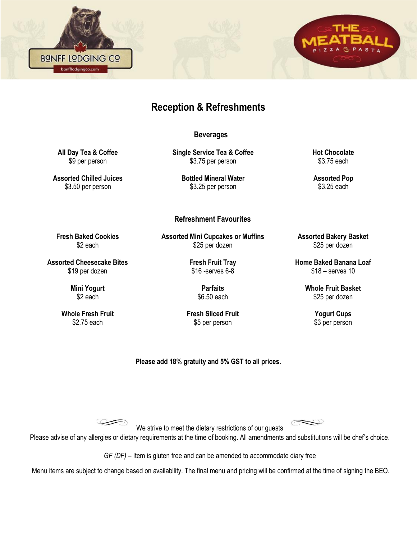



# **Reception & Refreshments**

 **Beverages**

**All Day Tea & Coffee**  \$9 per person

**Assorted Chilled Juices**  \$3.50 per person

**Fresh Baked Cookies**  \$2 each

**Assorted Cheesecake Bites**  \$19 per dozen

> **Mini Yogurt** \$2 each

**Whole Fresh Fruit**  \$2.75 each

**Single Service Tea & Coffee** \$3.75 per person

> **Bottled Mineral Water**  \$3.25 per person

#### **Refreshment Favourites**

**Assorted Mini Cupcakes or Muffins**  \$25 per dozen

> **Fresh Fruit Tray**  \$16 -serves 6-8

> > **Parfaits**  \$6.50 each

**Fresh Sliced Fruit**  \$5 per person

**Hot Chocolate**  \$3.75 each

**Assorted Pop** \$3.25 each

**Assorted Bakery Basket**  \$25 per dozen

**Home Baked Banana Loaf**  \$18 – serves 10

> **Whole Fruit Basket**  \$25 per dozen

> > **Yogurt Cups**  \$3 per person

**Please add 18% gratuity and 5% GST to all prices.**

 $\circledcirc$ 

We strive to meet the dietary restrictions of our guests Please advise of any allergies or dietary requirements at the time of booking. All amendments and substitutions will be chef's choice.

*GF (DF)* – Item is gluten free and can be amended to accommodate diary free

Menu items are subject to change based on availability. The final menu and pricing will be confirmed at the time of signing the BEO.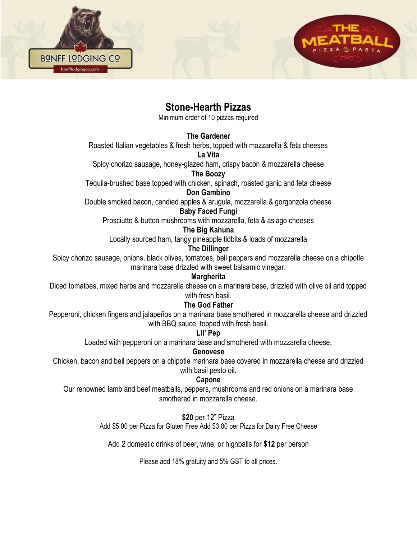

**BONFF LODGING CO** banfflodgingco.com

Minimum order of 10 pizzas required

**The Gardener**

Roasted Italian vegetables & fresh herbs, topped with mozzarella & feta cheeses

**La Vita**

Spicy chorizo sausage, honey-glazed ham, crispy bacon & mozzarella cheese

**The Boozy**

Tequila-brushed base topped with chicken, spinach, roasted garlic and feta cheese **Don Gambino**

Double smoked bacon, candied apples & arugula, mozzarella & gorgonzola cheese

#### **Baby Faced Fungi**

Prosciutto & button mushrooms with mozzarella, feta & asiago cheeses

#### **The Big Kahuna**

Locally sourced ham, tangy pineapple tidbits & loads of mozzarella

**The Dillinger**

Spicy chorizo sausage, onions, black olives, tomatoes, bell peppers and mozzarella cheese on a chipotle marinara base drizzled with sweet balsamic vinegar.

### **Margherita**

Diced tomatoes, mixed herbs and mozzarella cheese on a marinara base, drizzled with olive oil and topped with fresh basil.

### **The God Father**

Pepperoni, chicken fingers and jalapeños on a marinara base smothered in mozzarella cheese and drizzled with BBQ sauce. topped with fresh basil.

### **Lil' Pep**

Loaded with pepperoni on a marinara base and smothered with mozzarella cheese.

### **Genovese**

Chicken, bacon and bell peppers on a chipotle marinara base covered in mozzarella cheese and drizzled with basil pesto oil.

### **Capone**

Our renowned lamb and beef meatballs, peppers, mushrooms and red onions on a marinara base smothered in mozzarella cheese.

### **\$20** per 12" Pizza

Add \$5.00 per Pizza for Gluten Free Add \$3.00 per Pizza for Dairy Free Cheese

Add 2 domestic drinks of beer, wine, or highballs for **\$12** per person

Please add 18% gratuity and 5% GST to all prices.